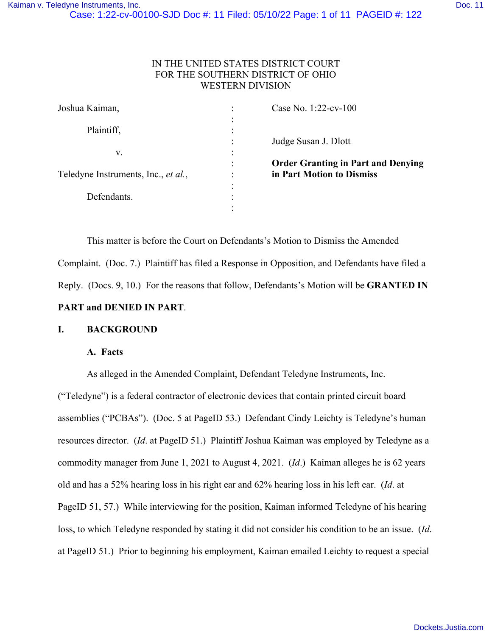## IN THE UNITED STATES DISTRICT COURT FOR THE SOUTHERN DISTRICT OF OHIO WESTERN DIVISION

| Joshua Kaiman,                      |           | Case No. 1:22-cv-100                      |
|-------------------------------------|-----------|-------------------------------------------|
|                                     |           |                                           |
| Plaintiff,                          |           |                                           |
|                                     |           | Judge Susan J. Dlott                      |
| v.                                  | $\bullet$ |                                           |
|                                     | $\bullet$ | <b>Order Granting in Part and Denying</b> |
| Teledyne Instruments, Inc., et al., | $\bullet$ | in Part Motion to Dismiss                 |
|                                     | $\bullet$ |                                           |
| Defendants.                         |           |                                           |
|                                     |           |                                           |

 This matter is before the Court on Defendants's Motion to Dismiss the Amended Complaint. (Doc. 7.) Plaintiff has filed a Response in Opposition, and Defendants have filed a Reply. (Docs. 9, 10.) For the reasons that follow, Defendants's Motion will be **GRANTED IN PART and DENIED IN PART**.

## **I. BACKGROUND**

#### **A. Facts**

As alleged in the Amended Complaint, Defendant Teledyne Instruments, Inc.

("Teledyne") is a federal contractor of electronic devices that contain printed circuit board assemblies ("PCBAs"). (Doc. 5 at PageID 53.) Defendant Cindy Leichty is Teledyne's human resources director. (*Id*. at PageID 51.) Plaintiff Joshua Kaiman was employed by Teledyne as a commodity manager from June 1, 2021 to August 4, 2021. (*Id*.) Kaiman alleges he is 62 years old and has a 52% hearing loss in his right ear and 62% hearing loss in his left ear. (*Id*. at PageID 51, 57.) While interviewing for the position, Kaiman informed Teledyne of his hearing loss, to which Teledyne responded by stating it did not consider his condition to be an issue. (*Id*. at PageID 51.) Prior to beginning his employment, Kaiman emailed Leichty to request a special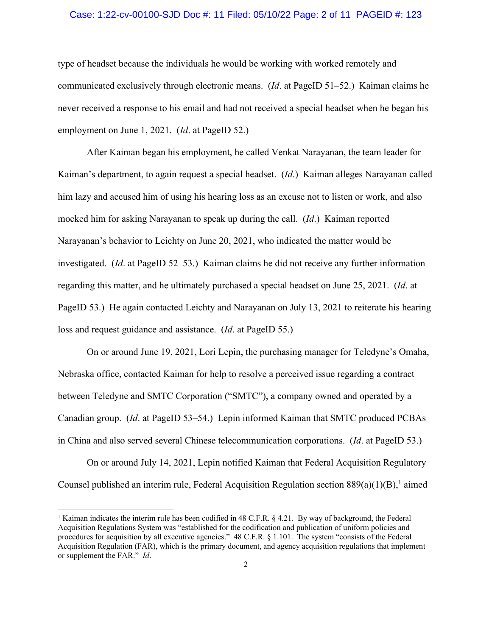#### Case: 1:22-cv-00100-SJD Doc #: 11 Filed: 05/10/22 Page: 2 of 11 PAGEID #: 123

type of headset because the individuals he would be working with worked remotely and communicated exclusively through electronic means. (*Id*. at PageID 51–52.) Kaiman claims he never received a response to his email and had not received a special headset when he began his employment on June 1, 2021. (*Id*. at PageID 52.)

After Kaiman began his employment, he called Venkat Narayanan, the team leader for Kaiman's department, to again request a special headset. (*Id*.) Kaiman alleges Narayanan called him lazy and accused him of using his hearing loss as an excuse not to listen or work, and also mocked him for asking Narayanan to speak up during the call. (*Id*.) Kaiman reported Narayanan's behavior to Leichty on June 20, 2021, who indicated the matter would be investigated. (*Id*. at PageID 52–53.) Kaiman claims he did not receive any further information regarding this matter, and he ultimately purchased a special headset on June 25, 2021. (*Id*. at PageID 53.) He again contacted Leichty and Narayanan on July 13, 2021 to reiterate his hearing loss and request guidance and assistance. (*Id*. at PageID 55.)

On or around June 19, 2021, Lori Lepin, the purchasing manager for Teledyne's Omaha, Nebraska office, contacted Kaiman for help to resolve a perceived issue regarding a contract between Teledyne and SMTC Corporation ("SMTC"), a company owned and operated by a Canadian group. (*Id*. at PageID 53–54.) Lepin informed Kaiman that SMTC produced PCBAs in China and also served several Chinese telecommunication corporations. (*Id*. at PageID 53.)

 On or around July 14, 2021, Lepin notified Kaiman that Federal Acquisition Regulatory Counsel published an interim rule, Federal Acquisition Regulation section  $889(a)(1)(B)$ ,<sup>1</sup> aimed

<sup>&</sup>lt;sup>1</sup> Kaiman indicates the interim rule has been codified in 48 C.F.R. § 4.21. By way of background, the Federal Acquisition Regulations System was "established for the codification and publication of uniform policies and procedures for acquisition by all executive agencies." 48 C.F.R. § 1.101. The system "consists of the Federal Acquisition Regulation (FAR), which is the primary document, and agency acquisition regulations that implement or supplement the FAR." *Id*.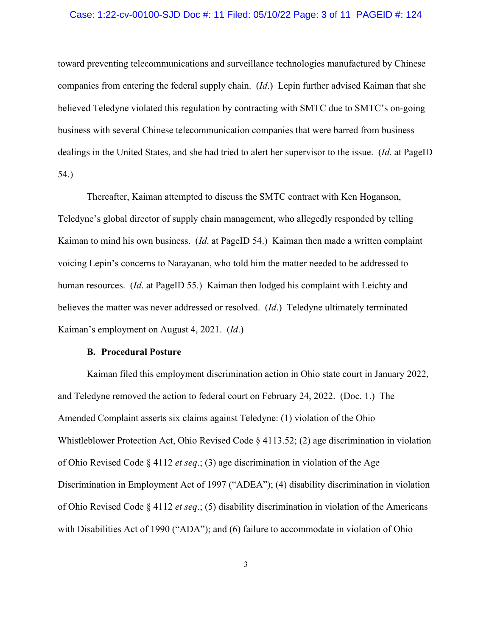#### Case: 1:22-cv-00100-SJD Doc #: 11 Filed: 05/10/22 Page: 3 of 11 PAGEID #: 124

toward preventing telecommunications and surveillance technologies manufactured by Chinese companies from entering the federal supply chain. (*Id*.) Lepin further advised Kaiman that she believed Teledyne violated this regulation by contracting with SMTC due to SMTC's on-going business with several Chinese telecommunication companies that were barred from business dealings in the United States, and she had tried to alert her supervisor to the issue. (*Id*. at PageID 54.)

Thereafter, Kaiman attempted to discuss the SMTC contract with Ken Hoganson, Teledyne's global director of supply chain management, who allegedly responded by telling Kaiman to mind his own business. (*Id*. at PageID 54.) Kaiman then made a written complaint voicing Lepin's concerns to Narayanan, who told him the matter needed to be addressed to human resources. (*Id*. at PageID 55.) Kaiman then lodged his complaint with Leichty and believes the matter was never addressed or resolved. (*Id*.) Teledyne ultimately terminated Kaiman's employment on August 4, 2021. (*Id*.)

#### **B. Procedural Posture**

Kaiman filed this employment discrimination action in Ohio state court in January 2022, and Teledyne removed the action to federal court on February 24, 2022. (Doc. 1.) The Amended Complaint asserts six claims against Teledyne: (1) violation of the Ohio Whistleblower Protection Act, Ohio Revised Code § 4113.52; (2) age discrimination in violation of Ohio Revised Code § 4112 *et seq*.; (3) age discrimination in violation of the Age Discrimination in Employment Act of 1997 ("ADEA"); (4) disability discrimination in violation of Ohio Revised Code § 4112 *et seq*.; (5) disability discrimination in violation of the Americans with Disabilities Act of 1990 ("ADA"); and (6) failure to accommodate in violation of Ohio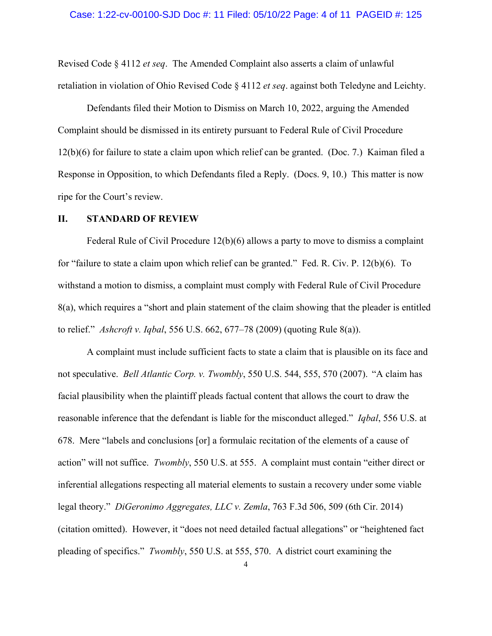Revised Code § 4112 *et seq*. The Amended Complaint also asserts a claim of unlawful retaliation in violation of Ohio Revised Code § 4112 *et seq*. against both Teledyne and Leichty.

 Defendants filed their Motion to Dismiss on March 10, 2022, arguing the Amended Complaint should be dismissed in its entirety pursuant to Federal Rule of Civil Procedure 12(b)(6) for failure to state a claim upon which relief can be granted. (Doc. 7.) Kaiman filed a Response in Opposition, to which Defendants filed a Reply. (Docs. 9, 10.) This matter is now ripe for the Court's review.

#### **II. STANDARD OF REVIEW**

Federal Rule of Civil Procedure 12(b)(6) allows a party to move to dismiss a complaint for "failure to state a claim upon which relief can be granted." Fed. R. Civ. P. 12(b)(6). To withstand a motion to dismiss, a complaint must comply with Federal Rule of Civil Procedure 8(a), which requires a "short and plain statement of the claim showing that the pleader is entitled to relief." *Ashcroft v. Iqbal*, 556 U.S. 662, 677–78 (2009) (quoting Rule 8(a)).

A complaint must include sufficient facts to state a claim that is plausible on its face and not speculative. *Bell Atlantic Corp. v. Twombly*, 550 U.S. 544, 555, 570 (2007). "A claim has facial plausibility when the plaintiff pleads factual content that allows the court to draw the reasonable inference that the defendant is liable for the misconduct alleged." *Iqbal*, 556 U.S. at 678. Mere "labels and conclusions [or] a formulaic recitation of the elements of a cause of action" will not suffice. *Twombly*, 550 U.S. at 555.A complaint must contain "either direct or inferential allegations respecting all material elements to sustain a recovery under some viable legal theory." *DiGeronimo Aggregates, LLC v. Zemla*, 763 F.3d 506, 509 (6th Cir. 2014) (citation omitted). However, it "does not need detailed factual allegations" or "heightened fact pleading of specifics." *Twombly*, 550 U.S. at 555, 570. A district court examining the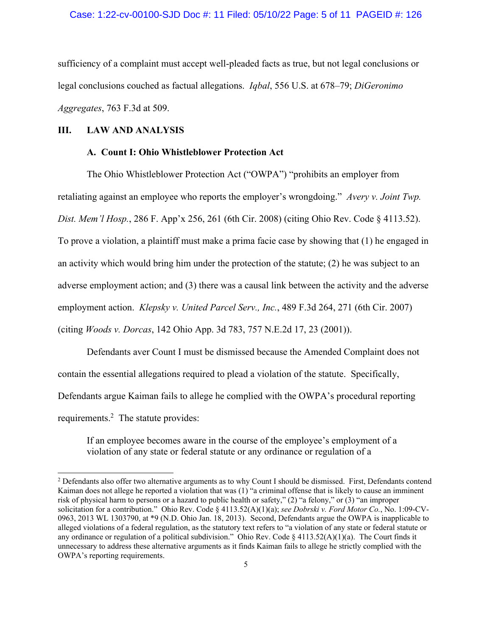sufficiency of a complaint must accept well-pleaded facts as true, but not legal conclusions or legal conclusions couched as factual allegations. *Iqbal*, 556 U.S. at 678–79; *DiGeronimo Aggregates*, 763 F.3d at 509.

#### **III. LAW AND ANALYSIS**

#### **A. Count I: Ohio Whistleblower Protection Act**

The Ohio Whistleblower Protection Act ("OWPA") "prohibits an employer from

retaliating against an employee who reports the employer's wrongdoing." *Avery v. Joint Twp.* 

*Dist. Mem'l Hosp.*, 286 F. App'x 256, 261 (6th Cir. 2008) (citing Ohio Rev. Code § 4113.52).

To prove a violation, a plaintiff must make a prima facie case by showing that (1) he engaged in

an activity which would bring him under the protection of the statute; (2) he was subject to an

adverse employment action; and (3) there was a causal link between the activity and the adverse

employment action. *Klepsky v. United Parcel Serv., Inc.*, 489 F.3d 264, 271 (6th Cir. 2007)

(citing *Woods v. Dorcas*, 142 Ohio App. 3d 783, 757 N.E.2d 17, 23 (2001)).

Defendants aver Count I must be dismissed because the Amended Complaint does not contain the essential allegations required to plead a violation of the statute. Specifically, Defendants argue Kaiman fails to allege he complied with the OWPA's procedural reporting requirements.<sup>2</sup> The statute provides:

If an employee becomes aware in the course of the employee's employment of a violation of any state or federal statute or any ordinance or regulation of a

<sup>&</sup>lt;sup>2</sup> Defendants also offer two alternative arguments as to why Count I should be dismissed. First, Defendants contend Kaiman does not allege he reported a violation that was (1) "a criminal offense that is likely to cause an imminent risk of physical harm to persons or a hazard to public health or safety," (2) "a felony," or (3) "an improper solicitation for a contribution." Ohio Rev. Code § 4113.52(A)(1)(a); *see Dobrski v. Ford Motor Co.*, No. 1:09-CV-0963, 2013 WL 1303790, at \*9 (N.D. Ohio Jan. 18, 2013). Second, Defendants argue the OWPA is inapplicable to alleged violations of a federal regulation, as the statutory text refers to "a violation of any state or federal statute or any ordinance or regulation of a political subdivision." Ohio Rev. Code  $\S 4113.52(A)(1)(a)$ . The Court finds it unnecessary to address these alternative arguments as it finds Kaiman fails to allege he strictly complied with the OWPA's reporting requirements.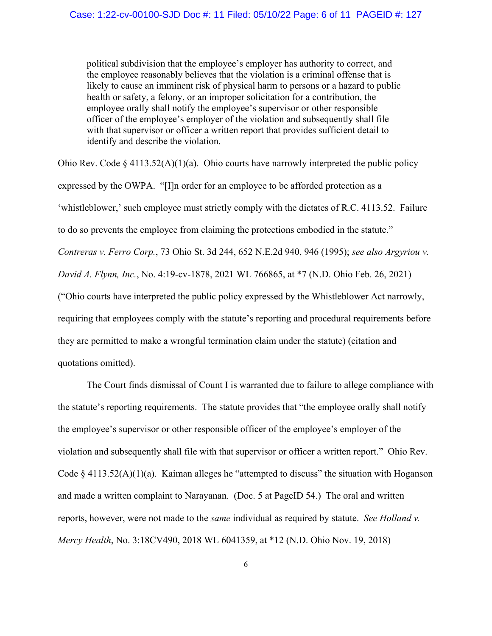political subdivision that the employee's employer has authority to correct, and the employee reasonably believes that the violation is a criminal offense that is likely to cause an imminent risk of physical harm to persons or a hazard to public health or safety, a felony, or an improper solicitation for a contribution, the employee orally shall notify the employee's supervisor or other responsible officer of the employee's employer of the violation and subsequently shall file with that supervisor or officer a written report that provides sufficient detail to identify and describe the violation.

Ohio Rev. Code  $\S 4113.52(A)(1)(a)$ . Ohio courts have narrowly interpreted the public policy expressed by the OWPA. "[I]n order for an employee to be afforded protection as a 'whistleblower,' such employee must strictly comply with the dictates of R.C. 4113.52. Failure to do so prevents the employee from claiming the protections embodied in the statute." *Contreras v. Ferro Corp.*, 73 Ohio St. 3d 244, 652 N.E.2d 940, 946 (1995); *see also Argyriou v. David A. Flynn, Inc.*, No. 4:19-cv-1878, 2021 WL 766865, at \*7 (N.D. Ohio Feb. 26, 2021) ("Ohio courts have interpreted the public policy expressed by the Whistleblower Act narrowly, requiring that employees comply with the statute's reporting and procedural requirements before they are permitted to make a wrongful termination claim under the statute) (citation and quotations omitted).

The Court finds dismissal of Count I is warranted due to failure to allege compliance with the statute's reporting requirements. The statute provides that "the employee orally shall notify the employee's supervisor or other responsible officer of the employee's employer of the violation and subsequently shall file with that supervisor or officer a written report." Ohio Rev. Code § 4113.52(A)(1)(a). Kaiman alleges he "attempted to discuss" the situation with Hoganson and made a written complaint to Narayanan. (Doc. 5 at PageID 54.) The oral and written reports, however, were not made to the *same* individual as required by statute. *See Holland v. Mercy Health*, No. 3:18CV490, 2018 WL 6041359, at \*12 (N.D. Ohio Nov. 19, 2018)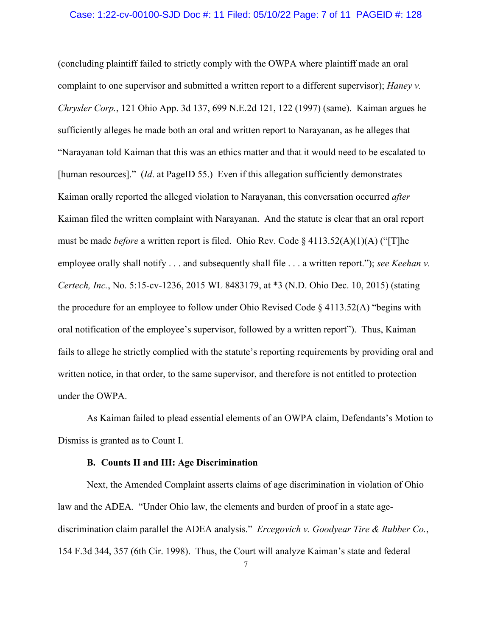#### Case: 1:22-cv-00100-SJD Doc #: 11 Filed: 05/10/22 Page: 7 of 11 PAGEID #: 128

(concluding plaintiff failed to strictly comply with the OWPA where plaintiff made an oral complaint to one supervisor and submitted a written report to a different supervisor); *Haney v. Chrysler Corp.*, 121 Ohio App. 3d 137, 699 N.E.2d 121, 122 (1997) (same). Kaiman argues he sufficiently alleges he made both an oral and written report to Narayanan, as he alleges that "Narayanan told Kaiman that this was an ethics matter and that it would need to be escalated to [human resources]." (*Id*. at PageID 55.) Even if this allegation sufficiently demonstrates Kaiman orally reported the alleged violation to Narayanan, this conversation occurred *after*  Kaiman filed the written complaint with Narayanan. And the statute is clear that an oral report must be made *before* a written report is filed. Ohio Rev. Code § 4113.52(A)(1)(A) ("[T]he employee orally shall notify . . . and subsequently shall file . . . a written report."); *see Keehan v*. *Certech, Inc.*, No. 5:15-cv-1236, 2015 WL 8483179, at \*3 (N.D. Ohio Dec. 10, 2015) (stating the procedure for an employee to follow under Ohio Revised Code  $\S 4113.52(A)$  "begins with oral notification of the employee's supervisor, followed by a written report"). Thus, Kaiman fails to allege he strictly complied with the statute's reporting requirements by providing oral and written notice, in that order, to the same supervisor, and therefore is not entitled to protection under the OWPA.

As Kaiman failed to plead essential elements of an OWPA claim, Defendants's Motion to Dismiss is granted as to Count I.

#### **B. Counts II and III: Age Discrimination**

Next, the Amended Complaint asserts claims of age discrimination in violation of Ohio law and the ADEA. "Under Ohio law, the elements and burden of proof in a state agediscrimination claim parallel the ADEA analysis." *Ercegovich v. Goodyear Tire & Rubber Co.*, 154 F.3d 344, 357 (6th Cir. 1998). Thus, the Court will analyze Kaiman's state and federal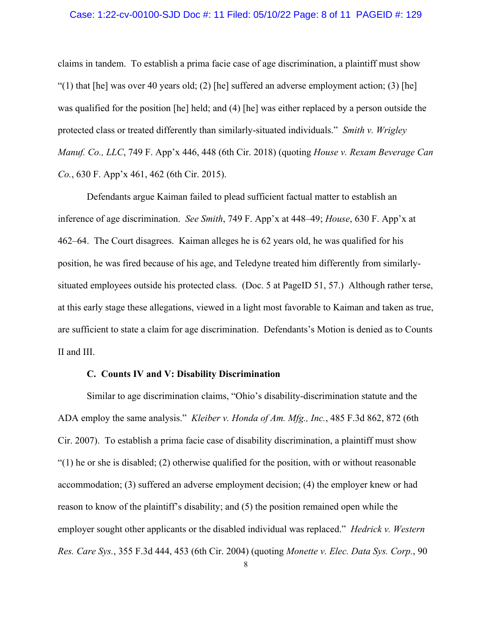#### Case: 1:22-cv-00100-SJD Doc #: 11 Filed: 05/10/22 Page: 8 of 11 PAGEID #: 129

claims in tandem. To establish a prima facie case of age discrimination, a plaintiff must show "(1) that [he] was over 40 years old; (2) [he] suffered an adverse employment action; (3) [he] was qualified for the position [he] held; and (4) [he] was either replaced by a person outside the protected class or treated differently than similarly-situated individuals." *Smith v. Wrigley Manuf. Co., LLC*, 749 F. App'x 446, 448 (6th Cir. 2018) (quoting *House v. Rexam Beverage Can Co.*, 630 F. App'x 461, 462 (6th Cir. 2015).

Defendants argue Kaiman failed to plead sufficient factual matter to establish an inference of age discrimination. *See Smith*, 749 F. App'x at 448–49; *House*, 630 F. App'x at 462–64. The Court disagrees. Kaiman alleges he is 62 years old, he was qualified for his position, he was fired because of his age, and Teledyne treated him differently from similarlysituated employees outside his protected class. (Doc. 5 at PageID 51, 57.) Although rather terse, at this early stage these allegations, viewed in a light most favorable to Kaiman and taken as true, are sufficient to state a claim for age discrimination. Defendants's Motion is denied as to Counts II and III.

#### **C. Counts IV and V: Disability Discrimination**

Similar to age discrimination claims, "Ohio's disability-discrimination statute and the ADA employ the same analysis." *Kleiber v. Honda of Am. Mfg., Inc.*, 485 F.3d 862, 872 (6th Cir. 2007). To establish a prima facie case of disability discrimination, a plaintiff must show  $(1)$  he or she is disabled; (2) otherwise qualified for the position, with or without reasonable accommodation; (3) suffered an adverse employment decision; (4) the employer knew or had reason to know of the plaintiff's disability; and (5) the position remained open while the employer sought other applicants or the disabled individual was replaced." *Hedrick v. Western Res. Care Sys.*, 355 F.3d 444, 453 (6th Cir. 2004) (quoting *Monette v. Elec. Data Sys. Corp.*, 90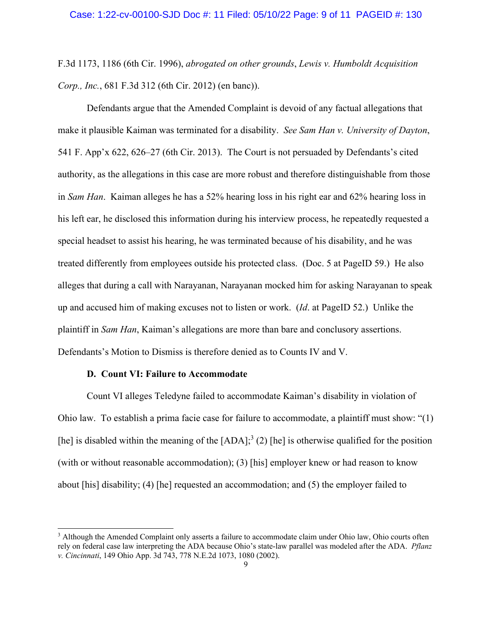F.3d 1173, 1186 (6th Cir. 1996), *abrogated on other grounds*, *Lewis v. Humboldt Acquisition Corp., Inc.*, 681 F.3d 312 (6th Cir. 2012) (en banc)).

Defendants argue that the Amended Complaint is devoid of any factual allegations that make it plausible Kaiman was terminated for a disability. *See Sam Han v. University of Dayton*, 541 F. App'x 622, 626–27 (6th Cir. 2013). The Court is not persuaded by Defendants's cited authority, as the allegations in this case are more robust and therefore distinguishable from those in *Sam Han*. Kaiman alleges he has a 52% hearing loss in his right ear and 62% hearing loss in his left ear, he disclosed this information during his interview process, he repeatedly requested a special headset to assist his hearing, he was terminated because of his disability, and he was treated differently from employees outside his protected class. (Doc. 5 at PageID 59.) He also alleges that during a call with Narayanan, Narayanan mocked him for asking Narayanan to speak up and accused him of making excuses not to listen or work. (*Id*. at PageID 52.) Unlike the plaintiff in *Sam Han*, Kaiman's allegations are more than bare and conclusory assertions. Defendants's Motion to Dismiss is therefore denied as to Counts IV and V.

#### **D. Count VI: Failure to Accommodate**

Count VI alleges Teledyne failed to accommodate Kaiman's disability in violation of Ohio law. To establish a prima facie case for failure to accommodate, a plaintiff must show: "(1) [he] is disabled within the meaning of the  $[ADA]$ ;<sup>3</sup> (2) [he] is otherwise qualified for the position (with or without reasonable accommodation); (3) [his] employer knew or had reason to know about [his] disability; (4) [he] requested an accommodation; and (5) the employer failed to

<sup>&</sup>lt;sup>3</sup> Although the Amended Complaint only asserts a failure to accommodate claim under Ohio law, Ohio courts often rely on federal case law interpreting the ADA because Ohio's state-law parallel was modeled after the ADA. *Pflanz v. Cincinnati*, 149 Ohio App. 3d 743, 778 N.E.2d 1073, 1080 (2002).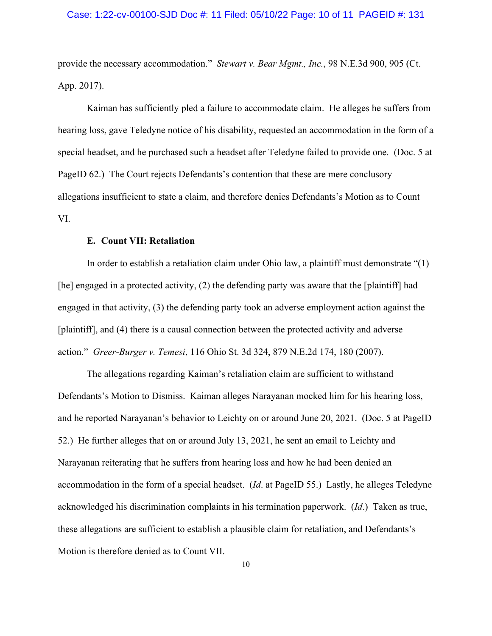#### Case: 1:22-cv-00100-SJD Doc #: 11 Filed: 05/10/22 Page: 10 of 11 PAGEID #: 131

provide the necessary accommodation." *Stewart v. Bear Mgmt., Inc.*, 98 N.E.3d 900, 905 (Ct. App. 2017).

Kaiman has sufficiently pled a failure to accommodate claim. He alleges he suffers from hearing loss, gave Teledyne notice of his disability, requested an accommodation in the form of a special headset, and he purchased such a headset after Teledyne failed to provide one. (Doc. 5 at PageID 62.) The Court rejects Defendants's contention that these are mere conclusory allegations insufficient to state a claim, and therefore denies Defendants's Motion as to Count VI.

#### **E. Count VII: Retaliation**

In order to establish a retaliation claim under Ohio law, a plaintiff must demonstrate "(1) [he] engaged in a protected activity, (2) the defending party was aware that the [plaintiff] had engaged in that activity, (3) the defending party took an adverse employment action against the [plaintiff], and (4) there is a causal connection between the protected activity and adverse action." *Greer-Burger v. Temesi*, 116 Ohio St. 3d 324, 879 N.E.2d 174, 180 (2007).

The allegations regarding Kaiman's retaliation claim are sufficient to withstand Defendants's Motion to Dismiss. Kaiman alleges Narayanan mocked him for his hearing loss, and he reported Narayanan's behavior to Leichty on or around June 20, 2021. (Doc. 5 at PageID 52.) He further alleges that on or around July 13, 2021, he sent an email to Leichty and Narayanan reiterating that he suffers from hearing loss and how he had been denied an accommodation in the form of a special headset. (*Id*. at PageID 55.) Lastly, he alleges Teledyne acknowledged his discrimination complaints in his termination paperwork. (*Id*.) Taken as true, these allegations are sufficient to establish a plausible claim for retaliation, and Defendants's Motion is therefore denied as to Count VII.